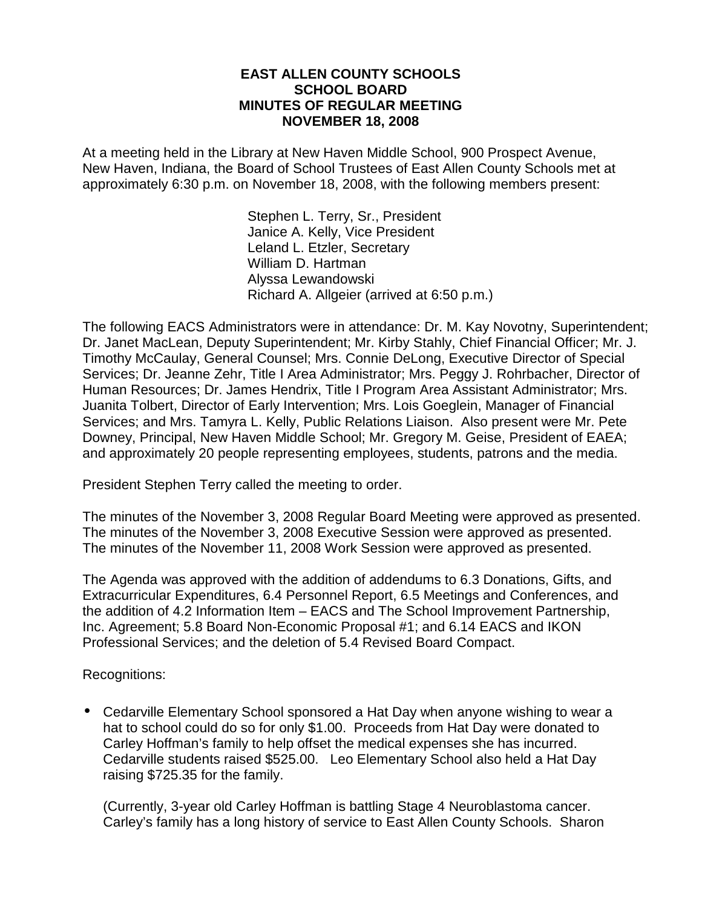#### **EAST ALLEN COUNTY SCHOOLS SCHOOL BOARD MINUTES OF REGULAR MEETING NOVEMBER 18, 2008**

At a meeting held in the Library at New Haven Middle School, 900 Prospect Avenue, New Haven, Indiana, the Board of School Trustees of East Allen County Schools met at approximately 6:30 p.m. on November 18, 2008, with the following members present:

> Stephen L. Terry, Sr., President Janice A. Kelly, Vice President Leland L. Etzler, Secretary William D. Hartman Alyssa Lewandowski Richard A. Allgeier (arrived at 6:50 p.m.)

The following EACS Administrators were in attendance: Dr. M. Kay Novotny, Superintendent; Dr. Janet MacLean, Deputy Superintendent; Mr. Kirby Stahly, Chief Financial Officer; Mr. J. Timothy McCaulay, General Counsel; Mrs. Connie DeLong, Executive Director of Special Services; Dr. Jeanne Zehr, Title I Area Administrator; Mrs. Peggy J. Rohrbacher, Director of Human Resources; Dr. James Hendrix, Title I Program Area Assistant Administrator; Mrs. Juanita Tolbert, Director of Early Intervention; Mrs. Lois Goeglein, Manager of Financial Services; and Mrs. Tamyra L. Kelly, Public Relations Liaison. Also present were Mr. Pete Downey, Principal, New Haven Middle School; Mr. Gregory M. Geise, President of EAEA; and approximately 20 people representing employees, students, patrons and the media.

President Stephen Terry called the meeting to order.

The minutes of the November 3, 2008 Regular Board Meeting were approved as presented. The minutes of the November 3, 2008 Executive Session were approved as presented. The minutes of the November 11, 2008 Work Session were approved as presented.

The Agenda was approved with the addition of addendums to 6.3 Donations, Gifts, and Extracurricular Expenditures, 6.4 Personnel Report, 6.5 Meetings and Conferences, and the addition of 4.2 Information Item – EACS and The School Improvement Partnership, Inc. Agreement; 5.8 Board Non-Economic Proposal #1; and 6.14 EACS and IKON Professional Services; and the deletion of 5.4 Revised Board Compact.

Recognitions:

• Cedarville Elementary School sponsored a Hat Day when anyone wishing to wear a hat to school could do so for only \$1.00. Proceeds from Hat Day were donated to Carley Hoffman's family to help offset the medical expenses she has incurred. Cedarville students raised \$525.00.Leo Elementary School also held a Hat Day raising \$725.35 for the family.

(Currently, 3-year old Carley Hoffman is battling Stage 4 Neuroblastoma cancer. Carley's family has a long history of service to East Allen County Schools. Sharon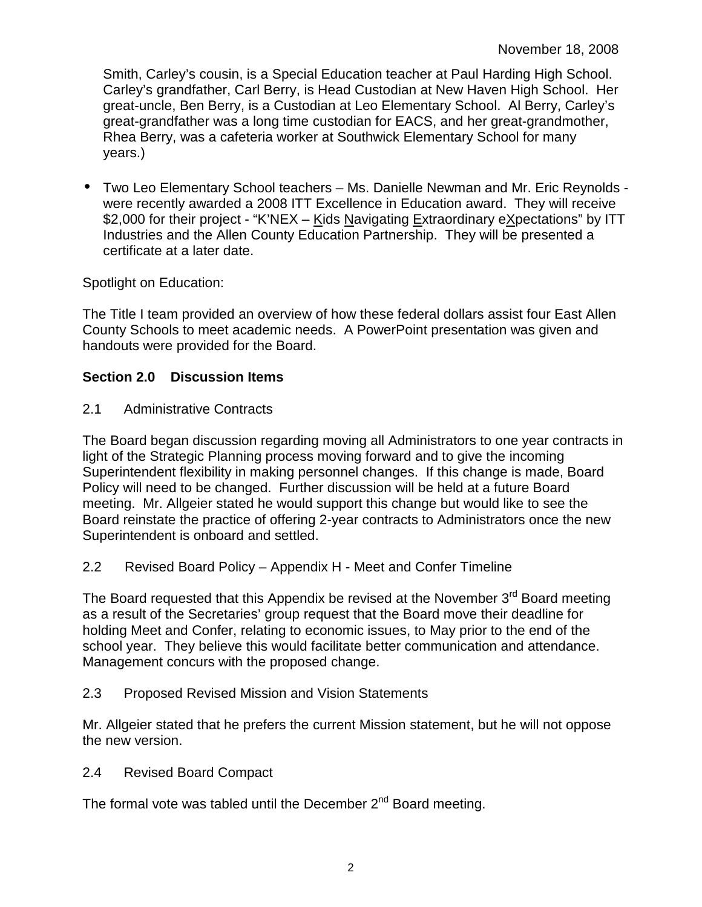Smith, Carley's cousin, is a Special Education teacher at Paul Harding High School. Carley's grandfather, Carl Berry, is Head Custodian at New Haven High School. Her great-uncle, Ben Berry, is a Custodian at Leo Elementary School. Al Berry, Carley's great-grandfather was a long time custodian for EACS, and her great-grandmother, Rhea Berry, was a cafeteria worker at Southwick Elementary School for many years.)

• Two Leo Elementary School teachers – Ms. Danielle Newman and Mr. Eric Reynolds were recently awarded a 2008 ITT Excellence in Education award. They will receive \$2,000 for their project - "K'NEX – Kids Navigating Extraordinary eXpectations" by ITT Industries and the Allen County Education Partnership. They will be presented a certificate at a later date.

Spotlight on Education:

The Title I team provided an overview of how these federal dollars assist four East Allen County Schools to meet academic needs. A PowerPoint presentation was given and handouts were provided for the Board.

### **Section 2.0 Discussion Items**

2.1 Administrative Contracts

The Board began discussion regarding moving all Administrators to one year contracts in light of the Strategic Planning process moving forward and to give the incoming Superintendent flexibility in making personnel changes. If this change is made, Board Policy will need to be changed. Further discussion will be held at a future Board meeting. Mr. Allgeier stated he would support this change but would like to see the Board reinstate the practice of offering 2-year contracts to Administrators once the new Superintendent is onboard and settled.

2.2 Revised Board Policy – Appendix H - Meet and Confer Timeline

The Board requested that this Appendix be revised at the November 3<sup>rd</sup> Board meeting as a result of the Secretaries' group request that the Board move their deadline for holding Meet and Confer, relating to economic issues, to May prior to the end of the school year. They believe this would facilitate better communication and attendance. Management concurs with the proposed change.

2.3 Proposed Revised Mission and Vision Statements

Mr. Allgeier stated that he prefers the current Mission statement, but he will not oppose the new version.

2.4 Revised Board Compact

The formal vote was tabled until the December  $2^{nd}$  Board meeting.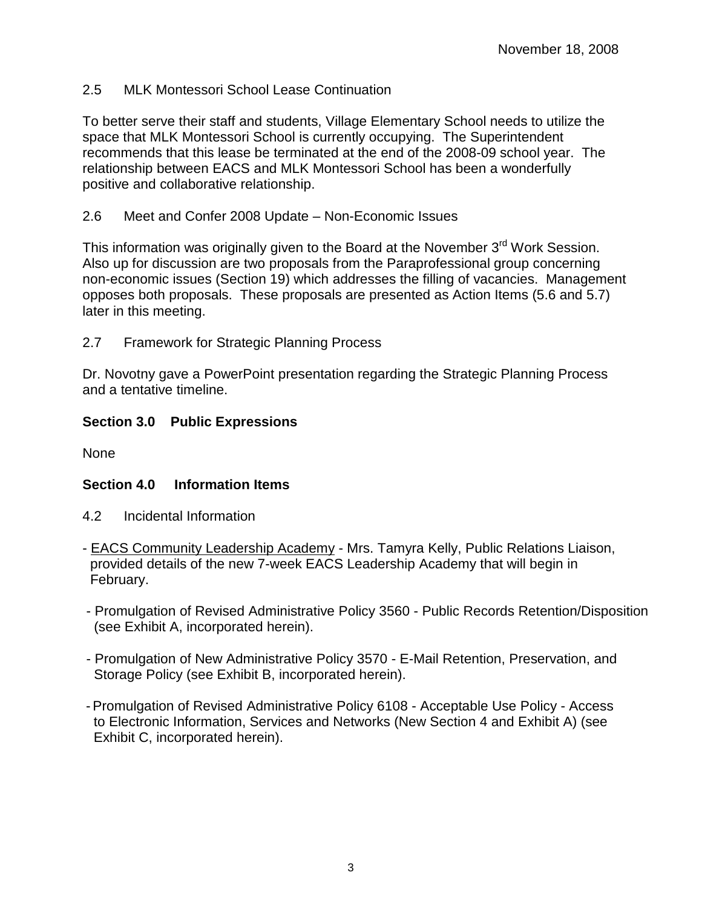## 2.5 MLK Montessori School Lease Continuation

To better serve their staff and students, Village Elementary School needs to utilize the space that MLK Montessori School is currently occupying. The Superintendent recommends that this lease be terminated at the end of the 2008-09 school year. The relationship between EACS and MLK Montessori School has been a wonderfully positive and collaborative relationship.

## 2.6 Meet and Confer 2008 Update – Non-Economic Issues

This information was originally given to the Board at the November 3<sup>rd</sup> Work Session. Also up for discussion are two proposals from the Paraprofessional group concerning non-economic issues (Section 19) which addresses the filling of vacancies. Management opposes both proposals. These proposals are presented as Action Items (5.6 and 5.7) later in this meeting.

2.7 Framework for Strategic Planning Process

Dr. Novotny gave a PowerPoint presentation regarding the Strategic Planning Process and a tentative timeline.

# **Section 3.0 Public Expressions**

None

# **Section 4.0 Information Items**

- 4.2 Incidental Information
- EACS Community Leadership Academy Mrs. Tamyra Kelly, Public Relations Liaison, provided details of the new 7-week EACS Leadership Academy that will begin in February.
- Promulgation of Revised Administrative Policy 3560 Public Records Retention/Disposition (see Exhibit A, incorporated herein).
- Promulgation of New Administrative Policy 3570 E-Mail Retention, Preservation, and Storage Policy (see Exhibit B, incorporated herein).
- Promulgation of Revised Administrative Policy 6108 Acceptable Use Policy Access to Electronic Information, Services and Networks (New Section 4 and Exhibit A) (see Exhibit C, incorporated herein).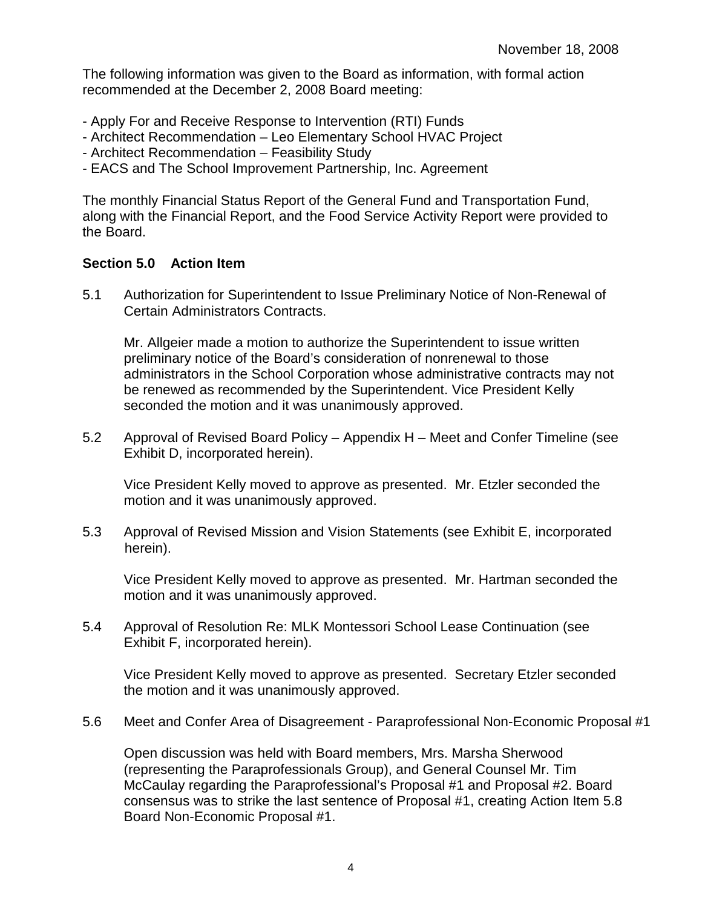The following information was given to the Board as information, with formal action recommended at the December 2, 2008 Board meeting:

- Apply For and Receive Response to Intervention (RTI) Funds
- Architect Recommendation Leo Elementary School HVAC Project
- Architect Recommendation Feasibility Study
- EACS and The School Improvement Partnership, Inc. Agreement

The monthly Financial Status Report of the General Fund and Transportation Fund, along with the Financial Report, and the Food Service Activity Report were provided to the Board.

#### **Section 5.0 Action Item**

5.1 Authorization for Superintendent to Issue Preliminary Notice of Non-Renewal of Certain Administrators Contracts.

 Mr. Allgeier made a motion to authorize the Superintendent to issue written preliminary notice of the Board's consideration of nonrenewal to those administrators in the School Corporation whose administrative contracts may not be renewed as recommended by the Superintendent. Vice President Kelly seconded the motion and it was unanimously approved.

5.2 Approval of Revised Board Policy – Appendix H – Meet and Confer Timeline (see Exhibit D, incorporated herein).

Vice President Kelly moved to approve as presented. Mr. Etzler seconded the motion and it was unanimously approved.

5.3 Approval of Revised Mission and Vision Statements (see Exhibit E, incorporated herein).

 Vice President Kelly moved to approve as presented. Mr. Hartman seconded the motion and it was unanimously approved.

5.4 Approval of Resolution Re: MLK Montessori School Lease Continuation (see Exhibit F, incorporated herein).

 Vice President Kelly moved to approve as presented. Secretary Etzler seconded the motion and it was unanimously approved.

5.6 Meet and Confer Area of Disagreement - Paraprofessional Non-Economic Proposal #1

Open discussion was held with Board members, Mrs. Marsha Sherwood (representing the Paraprofessionals Group), and General Counsel Mr. Tim McCaulay regarding the Paraprofessional's Proposal #1 and Proposal #2. Board consensus was to strike the last sentence of Proposal #1, creating Action Item 5.8 Board Non-Economic Proposal #1.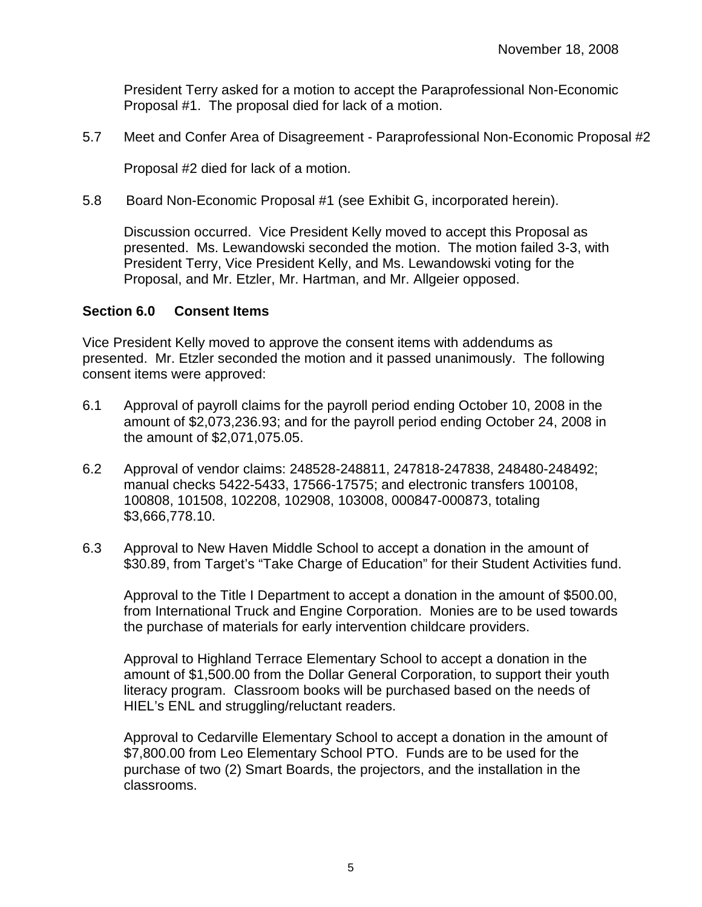President Terry asked for a motion to accept the Paraprofessional Non-Economic Proposal #1. The proposal died for lack of a motion.

5.7 Meet and Confer Area of Disagreement - Paraprofessional Non-Economic Proposal #2

Proposal #2 died for lack of a motion.

5.8 Board Non-Economic Proposal #1 (see Exhibit G, incorporated herein).

Discussion occurred. Vice President Kelly moved to accept this Proposal as presented. Ms. Lewandowski seconded the motion. The motion failed 3-3, with President Terry, Vice President Kelly, and Ms. Lewandowski voting for the Proposal, and Mr. Etzler, Mr. Hartman, and Mr. Allgeier opposed.

#### **Section 6.0 Consent Items**

Vice President Kelly moved to approve the consent items with addendums as presented. Mr. Etzler seconded the motion and it passed unanimously. The following consent items were approved:

- 6.1 Approval of payroll claims for the payroll period ending October 10, 2008 in the amount of \$2,073,236.93; and for the payroll period ending October 24, 2008 in the amount of \$2,071,075.05.
- 6.2 Approval of vendor claims: 248528-248811, 247818-247838, 248480-248492; manual checks 5422-5433, 17566-17575; and electronic transfers 100108, 100808, 101508, 102208, 102908, 103008, 000847-000873, totaling \$3,666,778.10.
- 6.3 Approval to New Haven Middle School to accept a donation in the amount of \$30.89, from Target's "Take Charge of Education" for their Student Activities fund.

Approval to the Title I Department to accept a donation in the amount of \$500.00, from International Truck and Engine Corporation. Monies are to be used towards the purchase of materials for early intervention childcare providers.

Approval to Highland Terrace Elementary School to accept a donation in the amount of \$1,500.00 from the Dollar General Corporation, to support their youth literacy program. Classroom books will be purchased based on the needs of HIEL's ENL and struggling/reluctant readers.

Approval to Cedarville Elementary School to accept a donation in the amount of \$7,800.00 from Leo Elementary School PTO. Funds are to be used for the purchase of two (2) Smart Boards, the projectors, and the installation in the classrooms.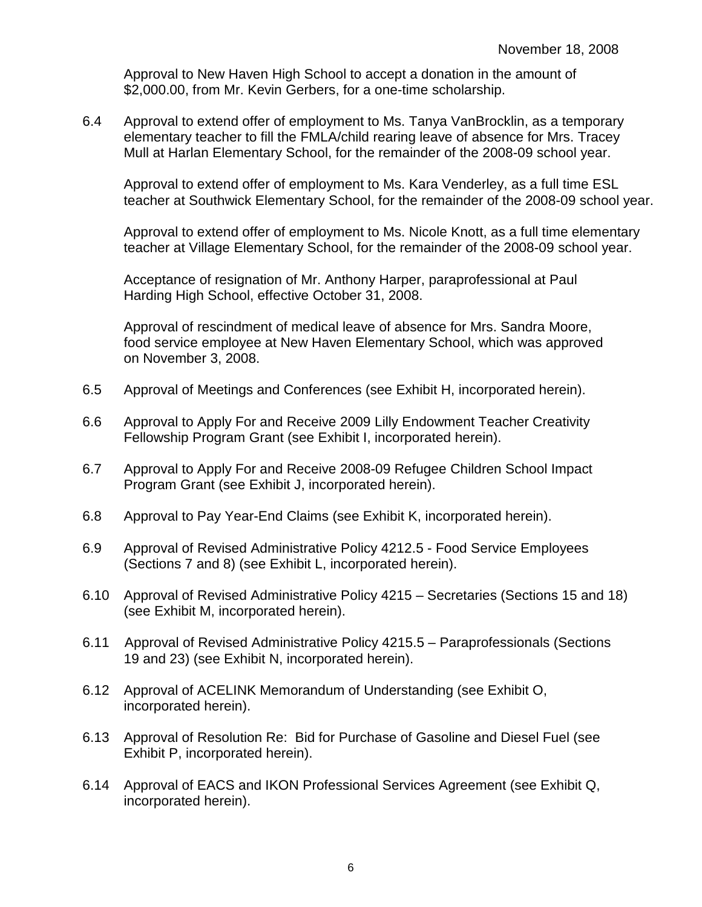Approval to New Haven High School to accept a donation in the amount of \$2,000.00, from Mr. Kevin Gerbers, for a one-time scholarship.

6.4 Approval to extend offer of employment to Ms. Tanya VanBrocklin, as a temporary elementary teacher to fill the FMLA/child rearing leave of absence for Mrs. Tracey Mull at Harlan Elementary School, for the remainder of the 2008-09 school year.

 Approval to extend offer of employment to Ms. Kara Venderley, as a full time ESL teacher at Southwick Elementary School, for the remainder of the 2008-09 school year.

Approval to extend offer of employment to Ms. Nicole Knott, as a full time elementary teacher at Village Elementary School, for the remainder of the 2008-09 school year.

 Acceptance of resignation of Mr. Anthony Harper, paraprofessional at Paul Harding High School, effective October 31, 2008.

 Approval of rescindment of medical leave of absence for Mrs. Sandra Moore, food service employee at New Haven Elementary School, which was approved on November 3, 2008.

- 6.5 Approval of Meetings and Conferences (see Exhibit H, incorporated herein).
- 6.6 Approval to Apply For and Receive 2009 Lilly Endowment Teacher Creativity Fellowship Program Grant (see Exhibit I, incorporated herein).
- 6.7 Approval to Apply For and Receive 2008-09 Refugee Children School Impact Program Grant (see Exhibit J, incorporated herein).
- 6.8 Approval to Pay Year-End Claims (see Exhibit K, incorporated herein).
- 6.9 Approval of Revised Administrative Policy 4212.5 Food Service Employees (Sections 7 and 8) (see Exhibit L, incorporated herein).
- 6.10 Approval of Revised Administrative Policy 4215 Secretaries (Sections 15 and 18) (see Exhibit M, incorporated herein).
- 6.11 Approval of Revised Administrative Policy 4215.5 Paraprofessionals (Sections 19 and 23) (see Exhibit N, incorporated herein).
- 6.12 Approval of ACELINK Memorandum of Understanding (see Exhibit O, incorporated herein).
- 6.13 Approval of Resolution Re: Bid for Purchase of Gasoline and Diesel Fuel (see Exhibit P, incorporated herein).
- 6.14 Approval of EACS and IKON Professional Services Agreement (see Exhibit Q, incorporated herein).